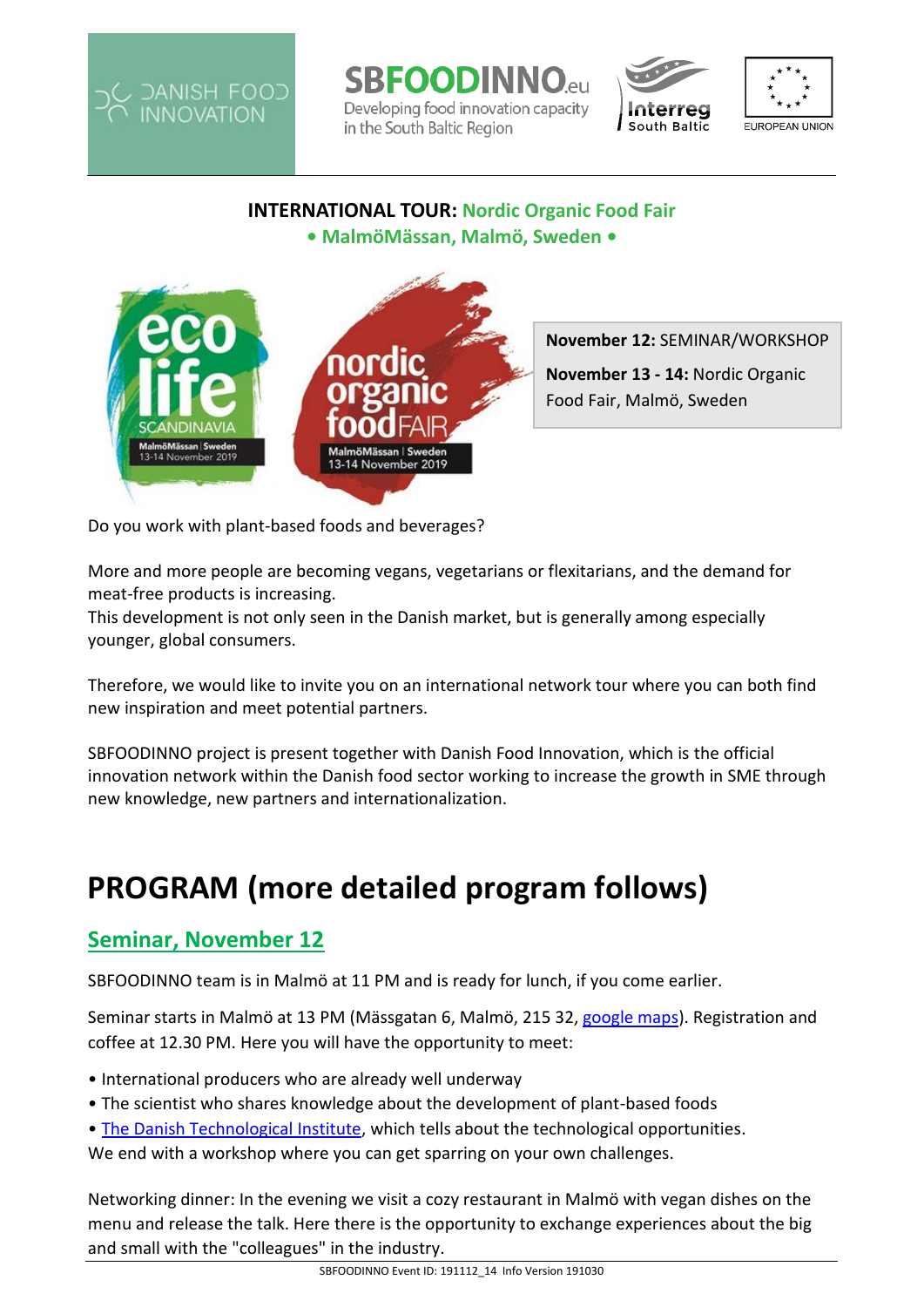

**SBFOODINNO.eu** Developing food innovation capacity in the South Baltic Region





### **INTERNATIONAL TOUR: Nordic Organic Food Fair**

**• MalmöMässan, Malmö, Sweden •**



[Do you work with plant-based foods and beverages?](https://www.nordicorganicexpo.com/)

More and more people are becoming vegans, vegetarians or flexitarians, and the demand for meat-free products is increasing.

This development is not only seen in the Danish market, but is generally among especially younger, global consumers.

Therefore, we would like to invite you on an international network tour where you can both find new inspiration and meet potential partners.

SBFOODINNO project is present together with Danish Food Innovation, which is the official innovation network within the Danish food sector working to increase the growth in SME through new knowledge, new partners and internationalization.

# **PROGRAM (more detailed program follows)**

# **Seminar, November 12**

SBFOODINNO team is in Malmö at 11 PM and is ready for lunch, if you come earlier.

Seminar starts in Malmö at 13 PM (Mässgatan 6, Malmö, 215 32, [google maps\)](https://www.google.com/maps/place/M%C3%A4ssgatan+6,+215+32+Malm%C3%B6,+Sweden/@55.5663927,12.9743222,17z/data=!3m1!4b1!4m5!3m4!1s0x4653a12c7169bad9:0x9fc9af53ecc1a57e!8m2!3d55.5663927!4d12.9765109?hl=en). Registration and coffee at 12.30 PM. Here you will have the opportunity to meet:

- International producers who are already well underway
- The scientist who shares knowledge about the development of plant-based foods
- [The Danish Technological Institute,](https://www.dti.dk/) which tells about the technological opportunities.

We end with a workshop where you can get sparring on your own challenges.

Networking dinner: In the evening we visit a cozy restaurant in Malmö with vegan dishes on the menu and release the talk. Here there is the opportunity to exchange experiences about the big and small with the "colleagues" in the industry.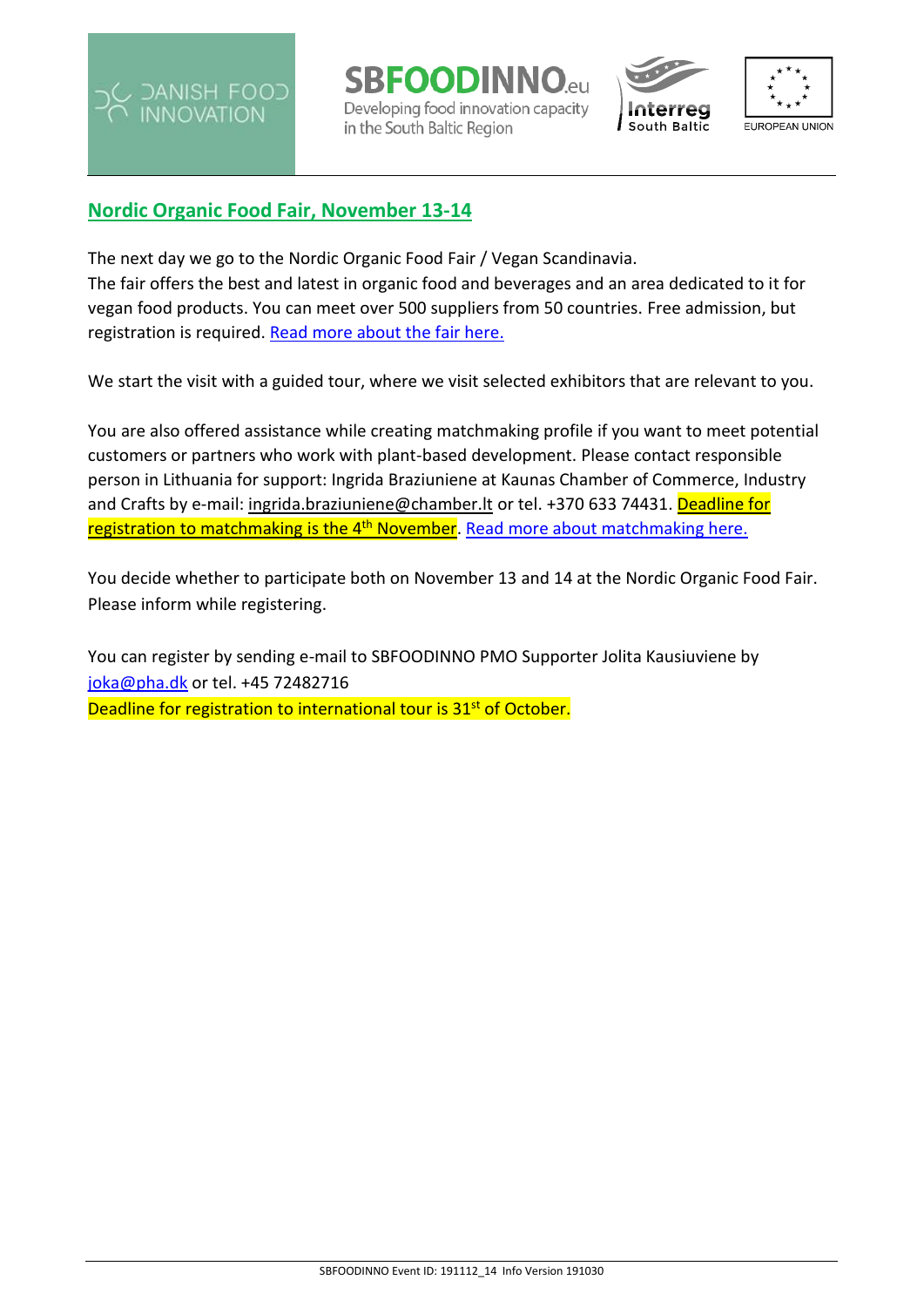

**SBFOODINNO.eu** Developing food innovation capacity in the South Baltic Region





#### **Nordic Organic Food Fair, November 13-14**

The next day we go to the Nordic Organic Food Fair / Vegan Scandinavia. The fair offers the best and latest in organic food and beverages and an area dedicated to it for vegan food products. You can meet over 500 suppliers from 50 countries. Free admission, but registration is required. [Read more about the fair here.](https://www.nordicorganicexpo.com/press-releases/) 

We start the visit with a guided tour, where we visit selected exhibitors that are relevant to you.

You are also offered assistance while creating matchmaking profile if you want to meet potential customers or partners who work with plant-based development. Please contact responsible person in Lithuania for support: Ingrida Braziuniene at Kaunas Chamber of Commerce, Industry and Crafts by e-mail: [ingrida.braziuniene@chamber.lt](mailto:ingrida.braziuniene@chamber.lt) or tel. +370 633 74431. Deadline for <mark>registration to matchmaking is the 4<sup>th</sup> November</mark>. [Read more about matchmaking here.](https://organic-food-eco-life-matchmaking.b2match.io/page-3691)

You decide whether to participate both on November 13 and 14 at the Nordic Organic Food Fair. Please inform while registering.

You can register by sending e-mail to SBFOODINNO PMO Supporter Jolita Kausiuviene by [joka@pha.dk](mailto:joka@pha.dk) or tel. +45 72482716 Deadline for registration to international tour is 31<sup>st</sup> of October.